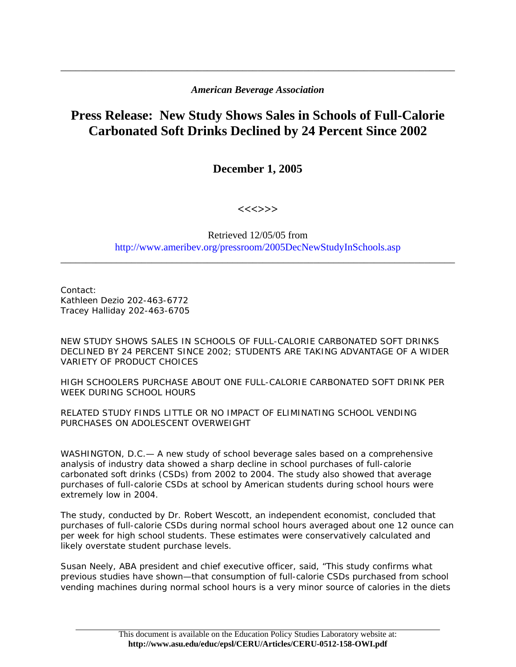## *American Beverage Association*

\_\_\_\_\_\_\_\_\_\_\_\_\_\_\_\_\_\_\_\_\_\_\_\_\_\_\_\_\_\_\_\_\_\_\_\_\_\_\_\_\_\_\_\_\_\_\_\_\_\_\_\_\_\_\_\_\_\_\_\_\_\_\_\_\_\_\_\_\_\_\_\_\_\_\_\_\_\_

## **Press Release: New Study Shows Sales in Schools of Full-Calorie Carbonated Soft Drinks Declined by 24 Percent Since 2002**

**December 1, 2005** 

**<<<>>>** 

## Retrieved 12/05/05 from http://www.ameribev.org/pressroom/2005DecNewStudyInSchools.asp

\_\_\_\_\_\_\_\_\_\_\_\_\_\_\_\_\_\_\_\_\_\_\_\_\_\_\_\_\_\_\_\_\_\_\_\_\_\_\_\_\_\_\_\_\_\_\_\_\_\_\_\_\_\_\_\_\_\_\_\_\_\_\_\_\_\_\_\_\_\_\_\_\_\_\_\_\_\_

Contact: Kathleen Dezio 202-463-6772 Tracey Halliday 202-463-6705

NEW STUDY SHOWS SALES IN SCHOOLS OF FULL-CALORIE CARBONATED SOFT DRINKS DECLINED BY 24 PERCENT SINCE 2002; STUDENTS ARE TAKING ADVANTAGE OF A WIDER VARIETY OF PRODUCT CHOICES

HIGH SCHOOLERS PURCHASE ABOUT ONE FULL-CALORIE CARBONATED SOFT DRINK PER WEEK DURING SCHOOL HOURS

RELATED STUDY FINDS LITTLE OR NO IMPACT OF ELIMINATING SCHOOL VENDING PURCHASES ON ADOLESCENT OVERWEIGHT

WASHINGTON, D.C.— A new study of school beverage sales based on a comprehensive analysis of industry data showed a sharp decline in school purchases of full-calorie carbonated soft drinks (CSDs) from 2002 to 2004. The study also showed that average purchases of full-calorie CSDs at school by American students during school hours were extremely low in 2004.

The study, conducted by Dr. Robert Wescott, an independent economist, concluded that purchases of full-calorie CSDs during normal school hours averaged about one 12 ounce can per week for high school students. These estimates were conservatively calculated and likely overstate student purchase levels.

Susan Neely, ABA president and chief executive officer, said, "This study confirms what previous studies have shown—that consumption of full-calorie CSDs purchased from school vending machines during normal school hours is a very minor source of calories in the diets